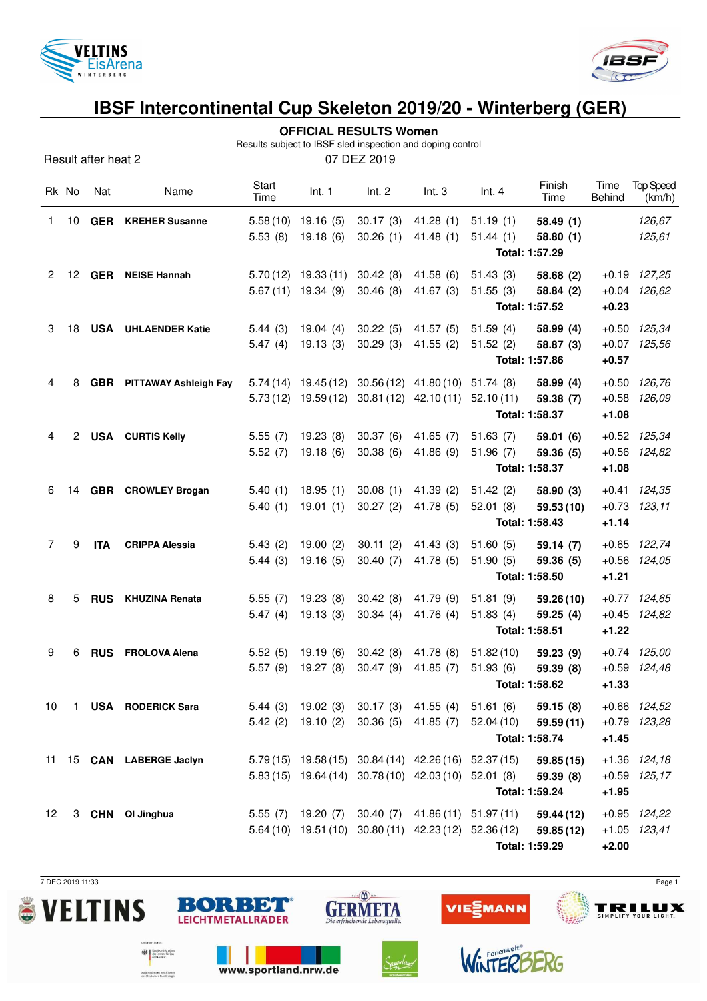



Top Speed (km/h)

## **IBSF Intercontinental Cup Skeleton 2019/20 - Winterberg (GER)**

|                                                                                                  | ,,,,,,,,,,,,,,,,     |            |                                  |              |                       |                                            |           |           |                |         |                  |  |  |
|--------------------------------------------------------------------------------------------------|----------------------|------------|----------------------------------|--------------|-----------------------|--------------------------------------------|-----------|-----------|----------------|---------|------------------|--|--|
|                                                                                                  |                      |            |                                  |              |                       | <b>OFFICIAL RESULTS Women</b>              |           |           |                |         |                  |  |  |
| Results subject to IBSF sled inspection and doping control<br>07 DEZ 2019<br>Result after heat 2 |                      |            |                                  |              |                       |                                            |           |           |                |         |                  |  |  |
|                                                                                                  |                      |            |                                  | <b>Start</b> |                       |                                            |           |           | Finish         | Time    | <b>Top Spee</b>  |  |  |
|                                                                                                  | Rk No                | Nat        | Name                             | Time         | Int. 1                | Int. 2                                     | Int.3     | Int.4     | Time           | Behind  | (km/h)           |  |  |
| 1.                                                                                               | 10                   | <b>GER</b> | <b>KREHER Susanne</b>            |              | $5.58(10)$ 19.16 (5)  | 30.17(3)                                   | 41.28 (1) | 51.19(1)  | 58.49(1)       |         | 126,67           |  |  |
|                                                                                                  |                      |            |                                  | 5.53(8)      | 19.18(6)              | 30.26(1)                                   | 41.48(1)  | 51.44(1)  | 58.80(1)       |         | 125,61           |  |  |
|                                                                                                  |                      |            |                                  |              |                       |                                            |           |           | Total: 1:57.29 |         |                  |  |  |
| $\mathbf{2}^{\circ}$                                                                             | 12 <sup>°</sup>      | <b>GER</b> | <b>NEISE Hannah</b>              |              | $5.70(12)$ 19.33 (11) | 30.42(8)                                   | 41.58(6)  | 51.43(3)  | 58.68 (2)      |         | $+0.19$ $127,25$ |  |  |
|                                                                                                  |                      |            |                                  |              | 5.67 (11) 19.34 (9)   | 30.46(8)                                   | 41.67(3)  | 51.55(3)  | 58.84 (2)      | $+0.04$ | 126,62           |  |  |
|                                                                                                  |                      |            |                                  |              |                       |                                            |           |           | Total: 1:57.52 | $+0.23$ |                  |  |  |
| 3                                                                                                | 18                   |            | <b>USA</b> UHLAENDER Katie       | 5.44(3)      | 19.04(4)              | 30.22(5)                                   | 41.57(5)  | 51.59(4)  | 58.99(4)       | $+0.50$ | 125,34           |  |  |
|                                                                                                  |                      |            |                                  | 5.47(4)      | 19.13(3)              | 30.29(3)                                   | 41.55(2)  | 51.52(2)  | 58.87 (3)      | $+0.07$ | 125,56           |  |  |
|                                                                                                  |                      |            |                                  |              |                       |                                            |           |           | Total: 1:57.86 | $+0.57$ |                  |  |  |
| 4                                                                                                | 8                    |            | <b>GBR</b> PITTAWAY Ashleigh Fay |              |                       | $5.74(14)$ 19.45(12) 30.56(12) 41.80(10)   |           | 51.74(8)  | 58.99(4)       | $+0.50$ | 126,76           |  |  |
|                                                                                                  |                      |            |                                  |              |                       | 5.73 (12) 19.59 (12) 30.81 (12) 42.10 (11) |           | 52.10(11) | 59.38 (7)      | $+0.58$ | 126,09           |  |  |
|                                                                                                  |                      |            |                                  |              |                       |                                            |           |           | Total: 1:58.37 | $+1.08$ |                  |  |  |
| 4                                                                                                | $\mathbf{2}^{\circ}$ |            | <b>USA</b> CURTIS Kelly          | 5.55(7)      | 19.23(8)              | 30.37(6)                                   | 41.65(7)  | 51.63(7)  | 59.01 (6)      |         | $+0.52$ $125,34$ |  |  |
|                                                                                                  |                      |            |                                  | 5.52(7)      | 19.18(6)              | 30.38(6)                                   | 41.86 (9) | 51.96(7)  | 59.36 (5)      | $+0.56$ | 124,82           |  |  |
|                                                                                                  |                      |            |                                  |              |                       |                                            |           |           | Total: 1:58.37 | $+1.08$ |                  |  |  |
| 6                                                                                                | 14                   |            | GBR CROWLEY Brogan               | 5.40(1)      | 18.95(1)              | 30.08(1)                                   | 41.39(2)  | 51.42(2)  | 58.90 (3)      |         | $+0.41$ $124,35$ |  |  |
|                                                                                                  |                      |            |                                  | 5.40(1)      | 19.01(1)              | 30.27(2)                                   | 41.78 (5) | 52.01(8)  | 59.53(10)      | $+0.73$ | 123,11           |  |  |
|                                                                                                  |                      |            |                                  |              |                       |                                            |           |           | Total: 1:58.43 | $+1.14$ |                  |  |  |
| $\overline{7}$                                                                                   | 9                    | <b>ITA</b> | <b>CRIPPA Alessia</b>            | 5.43(2)      | 19.00(2)              | 30.11(2)                                   | 41.43(3)  | 51.60(5)  | 59.14(7)       | $+0.65$ | 122,74           |  |  |
|                                                                                                  |                      |            |                                  | 5.44(3)      | 19.16(5)              | 30.40(7)                                   | 41.78 (5) | 51.90(5)  | 59.36 (5)      | $+0.56$ | 124,05           |  |  |
|                                                                                                  |                      |            |                                  |              |                       |                                            |           |           | Total: 1:58.50 | $+1.21$ |                  |  |  |
| 8                                                                                                | 5                    | <b>RUS</b> | <b>KHUZINA Renata</b>            | 5.55(7)      | 19.23(8)              | 30.42(8)                                   | 41.79 (9) | 51.81(9)  | 59.26 (10)     | $+0.77$ | 124,65           |  |  |
|                                                                                                  |                      |            |                                  | 5.47(4)      | 19.13(3)              | 30.34(4)                                   | 41.76(4)  | 51.83(4)  | 59.25(4)       | $+0.45$ | 124,82           |  |  |
|                                                                                                  |                      |            |                                  |              |                       |                                            |           |           | Total: 1:58.51 | $+1.22$ |                  |  |  |
| 9                                                                                                | 6                    | <b>RUS</b> | <b>FROLOVA Alena</b>             | 5.52(5)      | 19.19(6)              | 30.42(8)                                   | 41.78 (8) | 51.82(10) | 59.23 (9)      |         | $+0.74$ $125,00$ |  |  |

5.57 (9) 19.27 (8) 30.47 (9) 41.85 (7) 51.93 (6) **59.39 (8)** +0.59 124,48 **Total: 1:58.62 +1.33** 10 1 **USA RODERICK Sara** 5.44 (3) 19.02 (3) 30.17 (3) 41.55 (4) 51.61 (6) **59.15 (8)** +0.66 124,52 5.42 (2) 19.10 (2) 30.36 (5) 41.85 (7) 52.04 (10) **59.59 (11)** +0.79 123,28 **Total: 1:58.74 +1.45** 11 15 **CAN LABERGE Jaclyn** 5.79 (15) 19.58 (15) 30.84 (14) 42.26 (16) 52.37 (15) **59.85 (15)** +1.36 124,18 5.83 (15) 19.64 (14) 30.78 (10) 42.03 (10) 52.01 (8) **59.39 (8)** +0.59 125,17 **Total: 1:59.24 +1.95** 12 3 **CHN QI Jinghua** 5.55 (7) 19.20 (7) 30.40 (7) 41.86 (11) 51.97 (11) **59.44 (12)** +0.95 124,22 5.64 (10) 19.51 (10) 30.80 (11) 42.23 (12) 52.36 (12) **59.85 (12)** +1.05 123,41 **Total: 1:59.29 +2.00**

 $sin(\underline{M})$ 

**GERMETA** 

 $B()$   $(1)$   $D$ 

**LEICHTMETALLRÄDER** 

www.sportland.nrw.de

**Expression and State Section**<br> *also Inner*s, for Bar<br>
und Heimat

aufgrund eines Beschlusse

7 DEC 2019 11:33 Page 1

TRILUX

SIMPLIFY YOUR LIGHT.





**MANN** 

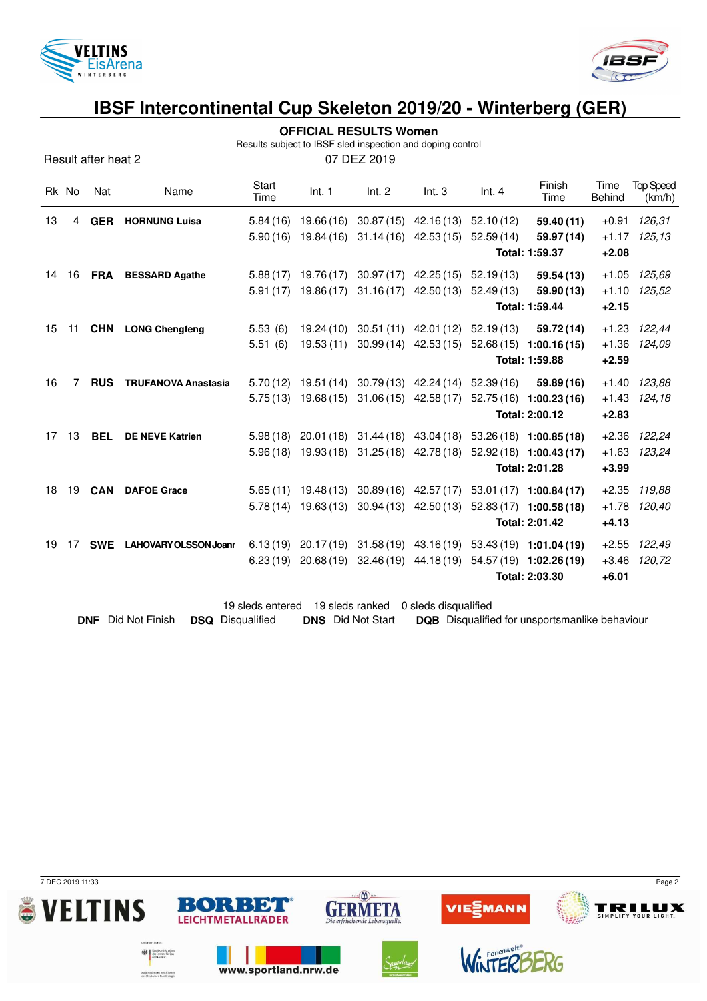

Result after heat 2



## **IBSF Intercontinental Cup Skeleton 2019/20 - Winterberg (GER)**

|  | <b>OFFICIAL RESULTS Women</b> |
|--|-------------------------------|
|--|-------------------------------|

Results subject to IBSF sled inspection and doping control

| 07 DEZ 2019 |  |
|-------------|--|
|             |  |

|    | Rk No | Nat        | Name                         | <b>Start</b><br>Time | Int. 1                | Int. 2                                                | Int.3                  | Int.4                            | Finish<br>Time                                                          | Time<br><b>Behind</b> | <b>Top Speed</b><br>(km/h) |
|----|-------|------------|------------------------------|----------------------|-----------------------|-------------------------------------------------------|------------------------|----------------------------------|-------------------------------------------------------------------------|-----------------------|----------------------------|
| 13 | 4     | <b>GER</b> | <b>HORNUNG Luisa</b>         |                      | $5.84(16)$ 19.66(16)  |                                                       | $30.87(15)$ 42.16(13)  | 52.10(12)                        | 59.40 (11)                                                              | $+0.91$               | 126,31                     |
|    |       |            |                              | 5.90(16)             | 19.84 (16)            |                                                       | $31.14(16)$ 42.53(15)  | 52.59(14)                        | 59.97 (14)                                                              |                       | $+1.17$ 125,13             |
|    |       |            |                              |                      |                       |                                                       |                        |                                  | Total: 1:59.37                                                          | $+2.08$               |                            |
| 14 |       |            | 16 FRA BESSARD Agathe        |                      |                       | 5.88 (17) 19.76 (17) 30.97 (17) 42.25 (15) 52.19 (13) |                        |                                  | 59.54 (13)                                                              | $+1.05$               | 125,69                     |
|    |       |            |                              |                      | $5.91(17)$ 19.86 (17) | 31.16 (17)                                            | 42.50 (13)             | 52.49(13)                        | 59.90 (13)                                                              |                       | $+1.10$ $125.52$           |
|    |       |            |                              |                      |                       |                                                       |                        |                                  | Total: 1:59.44                                                          | $+2.15$               |                            |
| 15 | 11    |            | <b>CHN</b> LONG Chengfeng    | 5.53(6)              | 19.24 (10)            |                                                       |                        | 30.51 (11) 42.01 (12) 52.19 (13) | 59.72 (14)                                                              |                       | +1.23 122,44               |
|    |       |            |                              | 5.51(6)              | 19.53(11)             |                                                       | $30.99(14)$ 42.53(15)  |                                  | $52.68(15)$ 1:00.16(15)                                                 |                       | +1.36 124,09               |
|    |       |            |                              |                      |                       |                                                       |                        |                                  | Total: 1:59.88                                                          | $+2.59$               |                            |
| 16 | 7     | <b>RUS</b> | <b>TRUFANOVA Anastasia</b>   |                      |                       | 5.70 (12) 19.51 (14) 30.79 (13) 42.24 (14) 52.39 (16) |                        |                                  | 59.89 (16)                                                              |                       | +1.40 123,88               |
|    |       |            |                              | 5.75(13)             | 19.68 (15)            |                                                       | $31.06(15)$ 42.58 (17) |                                  | $52.75(16)$ 1:00.23(16)                                                 |                       | $+1.43$ $124.18$           |
|    |       |            |                              |                      |                       |                                                       |                        |                                  | Total: 2:00.12                                                          | $+2.83$               |                            |
| 17 | 13    | <b>BEL</b> | <b>DE NEVE Katrien</b>       | 5.98(18)             |                       | 20.01 (18) 31.44 (18) 43.04 (18)                      |                        |                                  | $53.26(18)$ 1:00.85(18)                                                 |                       | +2.36 122,24               |
|    |       |            |                              |                      |                       | $5.96(18)$ $19.93(18)$ $31.25(18)$ $42.78(18)$        |                        |                                  | $52.92(18)$ 1:00.43(17)                                                 | $+1.63$               | 123,24                     |
|    |       |            |                              |                      |                       |                                                       |                        |                                  | Total: 2:01.28                                                          | $+3.99$               |                            |
| 18 | 19    | <b>CAN</b> | <b>DAFOE Grace</b>           |                      |                       | $5.65(11)$ 19.48 (13) 30.89 (16) 42.57 (17)           |                        |                                  | 53.01 (17) 1:00.84 (17)                                                 | $+2.35$               | 119,88                     |
|    |       |            |                              |                      |                       | 5.78 (14) 19.63 (13) 30.94 (13) 42.50 (13)            |                        |                                  | 52.83 (17) 1:00.58 (18)                                                 | $+1.78$               | 120,40                     |
|    |       |            |                              |                      |                       |                                                       |                        |                                  | Total: 2:01.42                                                          | $+4.13$               |                            |
| 19 | 17    | <b>SWE</b> | <b>LAHOVARY OLSSON Joani</b> |                      |                       |                                                       |                        |                                  | 6.13 (19) $20.17(19)$ $31.58(19)$ $43.16(19)$ $53.43(19)$ $1:01.04(19)$ | $+2.55$               | 122,49                     |
|    |       |            |                              | 6.23(19)             |                       |                                                       |                        |                                  | 20.68 (19) 32.46 (19) 44.18 (19) 54.57 (19) 1:02.26 (19)                | $+3.46$               | 120,72                     |
|    |       |            |                              |                      |                       |                                                       |                        |                                  | Total: 2:03.30                                                          | $+6.01$               |                            |
|    |       |            |                              |                      |                       |                                                       |                        |                                  |                                                                         |                       |                            |

19 sleds entered 19 sleds ranked 0 sleds disqualified **DNF** Did Not Finish **DSQ** Disqualified **DNS** Did Not Start **DQB** Disqualified for unsportsmanlike behaviour

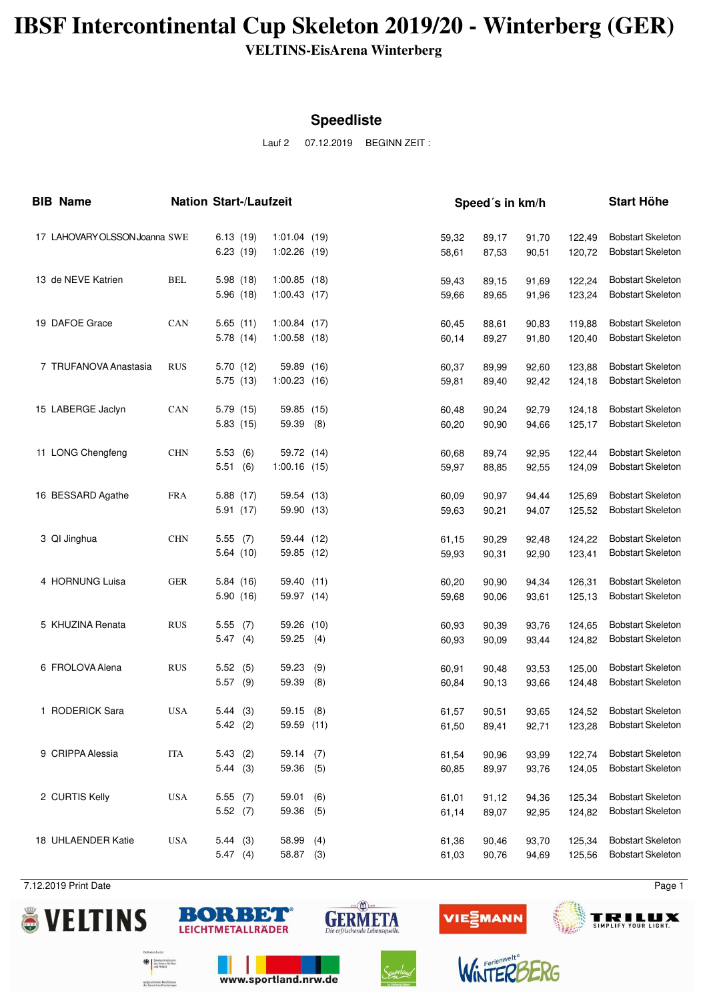## **IBSF Intercontinental Cup Skeleton 2019/20 - Winterberg (GER)**

**VELTINS-EisArena Winterberg**

#### **Speedliste**

Lauf 2 07.12.2019 BEGINN ZEIT :

| <b>BIB Name</b>               |            | <b>Nation Start-/Laufzeit</b> |                                  |             | Speed's in km/h |                |                |                  |                                                      |
|-------------------------------|------------|-------------------------------|----------------------------------|-------------|-----------------|----------------|----------------|------------------|------------------------------------------------------|
| 17 LAHOVARY OLSSON Joanna SWE |            | 6.13(19)<br>6.23(19)          | 1:01.04(19)<br>$1:02.26$ (19)    |             | 59,32<br>58,61  | 89,17<br>87,53 | 91,70<br>90,51 | 122,49<br>120,72 | <b>Bobstart Skeleton</b><br><b>Bobstart Skeleton</b> |
| 13 de NEVE Katrien            | <b>BEL</b> | 5.98 (18)<br>5.96 (18)        | $1:00.85$ (18)<br>$1:00.43$ (17) |             | 59,43<br>59,66  | 89,15<br>89,65 | 91,69<br>91,96 | 122,24<br>123,24 | <b>Bobstart Skeleton</b><br><b>Bobstart Skeleton</b> |
| 19 DAFOE Grace                | CAN        | 5.65(11)<br>5.78 (14)         | 1:00.84(17)<br>$1:00.58$ (18)    |             | 60,45<br>60,14  | 88,61<br>89,27 | 90,83<br>91,80 | 119,88<br>120,40 | <b>Bobstart Skeleton</b><br><b>Bobstart Skeleton</b> |
| 7 TRUFANOVA Anastasia         | <b>RUS</b> | 5.70(12)<br>5.75 (13)         | 59.89 (16)<br>$1:00.23$ (16)     |             | 60,37<br>59,81  | 89,99<br>89,40 | 92,60<br>92,42 | 123,88<br>124,18 | <b>Bobstart Skeleton</b><br><b>Bobstart Skeleton</b> |
| 15 LABERGE Jaclyn             | CAN        | 5.79(15)<br>5.83(15)          | 59.85 (15)<br>59.39              | (8)         | 60,48<br>60,20  | 90,24<br>90,90 | 92,79<br>94,66 | 124,18<br>125.17 | <b>Bobstart Skeleton</b><br><b>Bobstart Skeleton</b> |
| 11 LONG Chengfeng             | <b>CHN</b> | 5.53(6)<br>5.51<br>(6)        | 59.72 (14)<br>$1:00.16$ (15)     |             | 60,68<br>59,97  | 89,74<br>88,85 | 92,95<br>92,55 | 122,44<br>124,09 | <b>Bobstart Skeleton</b><br><b>Bobstart Skeleton</b> |
| 16 BESSARD Agathe             | <b>FRA</b> | 5.88 (17)<br>5.91(17)         | 59.54 (13)<br>59.90 (13)         |             | 60,09<br>59,63  | 90,97<br>90,21 | 94,44<br>94,07 | 125,69<br>125,52 | <b>Bobstart Skeleton</b><br><b>Bobstart Skeleton</b> |
| 3 QI Jinghua                  | <b>CHN</b> | 5.55(7)<br>5.64(10)           | 59.44 (12)<br>59.85 (12)         |             | 61,15<br>59,93  | 90,29<br>90,31 | 92,48<br>92,90 | 124,22<br>123,41 | <b>Bobstart Skeleton</b><br><b>Bobstart Skeleton</b> |
| 4 HORNUNG Luisa               | <b>GER</b> | 5.84(16)<br>5.90(16)          | 59.40 (11)<br>59.97 (14)         |             | 60,20<br>59,68  | 90,90<br>90,06 | 94,34<br>93,61 | 126,31<br>125,13 | <b>Bobstart Skeleton</b><br><b>Bobstart Skeleton</b> |
| 5 KHUZINA Renata              | <b>RUS</b> | 5.55(7)<br>5.47(4)            | 59.26<br>59.25                   | (10)<br>(4) | 60,93<br>60,93  | 90,39<br>90,09 | 93,76<br>93,44 | 124,65<br>124,82 | <b>Bobstart Skeleton</b><br><b>Bobstart Skeleton</b> |
| 6 FROLOVA Alena               | <b>RUS</b> | 5.52(5)<br>$5.57$ (9)         | 59.23<br>59.39                   | (9)<br>(8)  | 60,91<br>60,84  | 90,48<br>90,13 | 93,53<br>93,66 | 125,00<br>124,48 | <b>Bobstart Skeleton</b><br><b>Bobstart Skeleton</b> |
| 1 RODERICK Sara               | <b>USA</b> | 5.44(3)<br>5.42(2)            | 59.15(8)<br>59.59 (11)           |             | 61,57<br>61,50  | 90,51<br>89,41 | 93,65<br>92,71 | 124,52<br>123,28 | <b>Bobstart Skeleton</b><br><b>Bobstart Skeleton</b> |
| 9 CRIPPA Alessia              | <b>ITA</b> | 5.43(2)<br>5.44(3)            | 59.14 (7)<br>59.36               | (5)         | 61,54<br>60,85  | 90,96<br>89,97 | 93,99<br>93,76 | 122.74<br>124,05 | <b>Bobstart Skeleton</b><br><b>Bobstart Skeleton</b> |
| 2 CURTIS Kelly                | <b>USA</b> | 5.55(7)<br>5.52(7)            | 59.01<br>59.36                   | (6)<br>(5)  | 61,01<br>61,14  | 91,12<br>89,07 | 94,36<br>92,95 | 125,34<br>124,82 | <b>Bobstart Skeleton</b><br><b>Bobstart Skeleton</b> |
| 18 UHLAENDER Katie            | <b>USA</b> | 5.44(3)<br>5.47(4)            | 58.99<br>58.87                   | (4)<br>(3)  | 61,36<br>61,03  | 90,46<br>90,76 | 93,70<br>94,69 | 125,34<br>125,56 | <b>Bobstart Skeleton</b><br><b>Bobstart Skeleton</b> |

7.12.2019 Print Date Page 1





www.sportland.nrw.de

isterium<br>. für Rau

aufgrund eines Beschlusse<br>des Deutschen Bundestant





**WINTER**